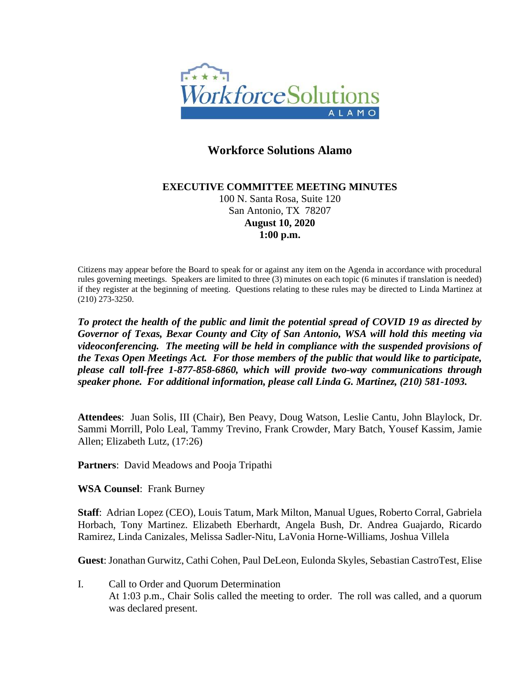

# **Workforce Solutions Alamo**

### **EXECUTIVE COMMITTEE MEETING MINUTES** 100 N. Santa Rosa, Suite 120 San Antonio, TX 78207 **August 10, 2020 1:00 p.m.**

Citizens may appear before the Board to speak for or against any item on the Agenda in accordance with procedural rules governing meetings. Speakers are limited to three (3) minutes on each topic (6 minutes if translation is needed) if they register at the beginning of meeting. Questions relating to these rules may be directed to Linda Martinez at (210) 273-3250.

*To protect the health of the public and limit the potential spread of COVID 19 as directed by Governor of Texas, Bexar County and City of San Antonio, WSA will hold this meeting via videoconferencing. The meeting will be held in compliance with the suspended provisions of the Texas Open Meetings Act. For those members of the public that would like to participate, please call toll-free 1-877-858-6860, which will provide two-way communications through speaker phone. For additional information, please call Linda G. Martinez, (210) 581-1093.*

**Attendees**: Juan Solis, III (Chair), Ben Peavy, Doug Watson, Leslie Cantu, John Blaylock, Dr. Sammi Morrill, Polo Leal, Tammy Trevino, Frank Crowder, Mary Batch, Yousef Kassim, Jamie Allen; Elizabeth Lutz, (17:26)

**Partners**: David Meadows and Pooja Tripathi

**WSA Counsel**: Frank Burney

**Staff**: Adrian Lopez (CEO), Louis Tatum, Mark Milton, Manual Ugues, Roberto Corral, Gabriela Horbach, Tony Martinez. Elizabeth Eberhardt, Angela Bush, Dr. Andrea Guajardo, Ricardo Ramirez, Linda Canizales, Melissa Sadler-Nitu, LaVonia Horne-Williams, Joshua Villela

**Guest**: Jonathan Gurwitz, Cathi Cohen, Paul DeLeon, Eulonda Skyles, Sebastian CastroTest, Elise

I. Call to Order and Quorum Determination At 1:03 p.m., Chair Solis called the meeting to order. The roll was called, and a quorum was declared present.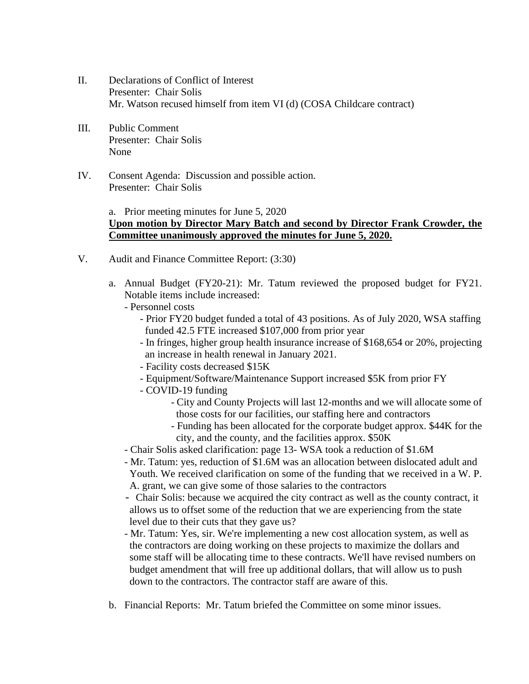- II. Declarations of Conflict of Interest Presenter: Chair Solis Mr. Watson recused himself from item VI (d) (COSA Childcare contract)
- III. Public Comment Presenter: Chair Solis None
- IV. Consent Agenda: Discussion and possible action. Presenter: Chair Solis

#### a. Prior meeting minutes for June 5, 2020 **Upon motion by Director Mary Batch and second by Director Frank Crowder, the Committee unanimously approved the minutes for June 5, 2020.**

- V. Audit and Finance Committee Report: (3:30)
	- a. Annual Budget (FY20-21): Mr. Tatum reviewed the proposed budget for FY21. Notable items include increased:
		- Personnel costs
			- Prior FY20 budget funded a total of 43 positions. As of July 2020, WSA staffing funded 42.5 FTE increased \$107,000 from prior year
			- In fringes, higher group health insurance increase of \$168,654 or 20%, projecting an increase in health renewal in January 2021.
			- Facility costs decreased \$15K
			- Equipment/Software/Maintenance Support increased \$5K from prior FY
			- COVID-19 funding
				- City and County Projects will last 12-months and we will allocate some of those costs for our facilities, our staffing here and contractors
				- Funding has been allocated for the corporate budget approx. \$44K for the city, and the county, and the facilities approx. \$50K
		- Chair Solis asked clarification: page 13- WSA took a reduction of \$1.6M
		- Mr. Tatum: yes, reduction of \$1.6M was an allocation between dislocated adult and Youth. We received clarification on some of the funding that we received in a W. P. A. grant, we can give some of those salaries to the contractors
		- Chair Solis: because we acquired the city contract as well as the county contract, it allows us to offset some of the reduction that we are experiencing from the state level due to their cuts that they gave us?
		- Mr. Tatum: Yes, sir. We're implementing a new cost allocation system, as well as the contractors are doing working on these projects to maximize the dollars and some staff will be allocating time to these contracts. We'll have revised numbers on budget amendment that will free up additional dollars, that will allow us to push down to the contractors. The contractor staff are aware of this.
	- b. Financial Reports: Mr. Tatum briefed the Committee on some minor issues.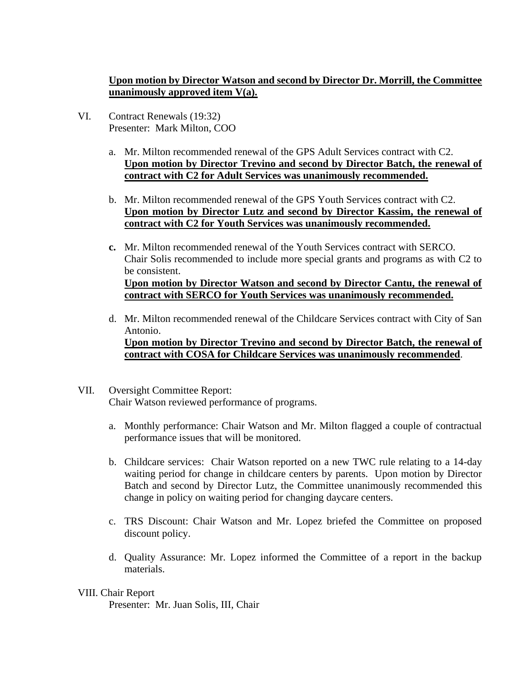# **Upon motion by Director Watson and second by Director Dr. Morrill, the Committee unanimously approved item V(a).**

- VI. Contract Renewals (19:32) Presenter: Mark Milton, COO
	- a. Mr. Milton recommended renewal of the GPS Adult Services contract with C2. **Upon motion by Director Trevino and second by Director Batch, the renewal of contract with C2 for Adult Services was unanimously recommended.**
	- b. Mr. Milton recommended renewal of the GPS Youth Services contract with C2. **Upon motion by Director Lutz and second by Director Kassim, the renewal of contract with C2 for Youth Services was unanimously recommended.**
	- **c.** Mr. Milton recommended renewal of the Youth Services contract with SERCO. Chair Solis recommended to include more special grants and programs as with C2 to be consistent. **Upon motion by Director Watson and second by Director Cantu, the renewal of contract with SERCO for Youth Services was unanimously recommended.**
	- d. Mr. Milton recommended renewal of the Childcare Services contract with City of San Antonio. **Upon motion by Director Trevino and second by Director Batch, the renewal of contract with COSA for Childcare Services was unanimously recommended**.
- VII. Oversight Committee Report: Chair Watson reviewed performance of programs.
	- a. Monthly performance: Chair Watson and Mr. Milton flagged a couple of contractual performance issues that will be monitored.
	- b. Childcare services: Chair Watson reported on a new TWC rule relating to a 14-day waiting period for change in childcare centers by parents. Upon motion by Director Batch and second by Director Lutz, the Committee unanimously recommended this change in policy on waiting period for changing daycare centers.
	- c. TRS Discount: Chair Watson and Mr. Lopez briefed the Committee on proposed discount policy.
	- d. Quality Assurance: Mr. Lopez informed the Committee of a report in the backup materials.

## VIII. Chair Report

Presenter: Mr. Juan Solis, III, Chair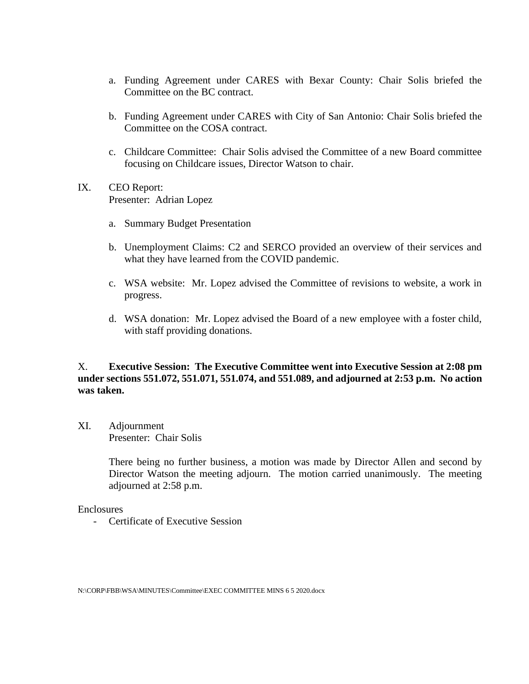- a. Funding Agreement under CARES with Bexar County: Chair Solis briefed the Committee on the BC contract.
- b. Funding Agreement under CARES with City of San Antonio: Chair Solis briefed the Committee on the COSA contract.
- c. Childcare Committee: Chair Solis advised the Committee of a new Board committee focusing on Childcare issues, Director Watson to chair.
- IX. CEO Report: Presenter: Adrian Lopez
	- a. Summary Budget Presentation
	- b. Unemployment Claims: C2 and SERCO provided an overview of their services and what they have learned from the COVID pandemic.
	- c. WSA website: Mr. Lopez advised the Committee of revisions to website, a work in progress.
	- d. WSA donation: Mr. Lopez advised the Board of a new employee with a foster child, with staff providing donations.

## X. **Executive Session: The Executive Committee went into Executive Session at 2:08 pm under sections 551.072, 551.071, 551.074, and 551.089, and adjourned at 2:53 p.m. No action was taken.**

XI. Adjournment Presenter: Chair Solis

> There being no further business, a motion was made by Director Allen and second by Director Watson the meeting adjourn. The motion carried unanimously. The meeting adjourned at 2:58 p.m.

Enclosures

- Certificate of Executive Session